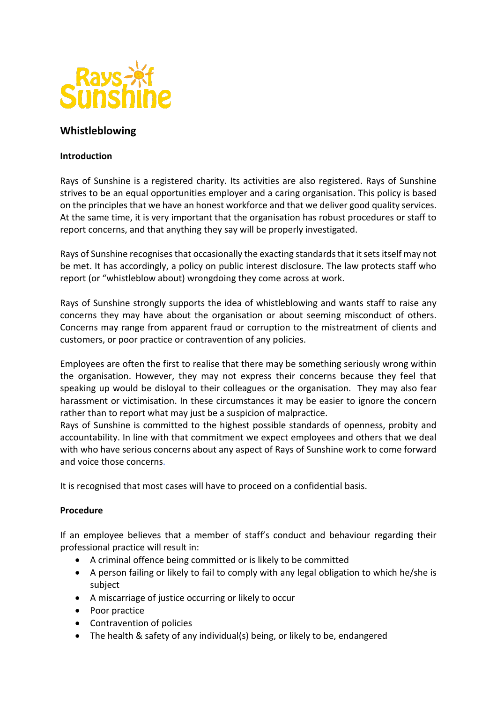

# **Whistleblowing**

#### **Introduction**

Rays of Sunshine is a registered charity. Its activities are also registered. Rays of Sunshine strives to be an equal opportunities employer and a caring organisation. This policy is based on the principles that we have an honest workforce and that we deliver good quality services. At the same time, it is very important that the organisation has robust procedures or staff to report concerns, and that anything they say will be properly investigated.

Rays of Sunshine recognises that occasionally the exacting standards that it sets itself may not be met. It has accordingly, a policy on public interest disclosure. The law protects staff who report (or "whistleblow about) wrongdoing they come across at work.

Rays of Sunshine strongly supports the idea of whistleblowing and wants staff to raise any concerns they may have about the organisation or about seeming misconduct of others. Concerns may range from apparent fraud or corruption to the mistreatment of clients and customers, or poor practice or contravention of any policies.

Employees are often the first to realise that there may be something seriously wrong within the organisation. However, they may not express their concerns because they feel that speaking up would be disloyal to their colleagues or the organisation. They may also fear harassment or victimisation. In these circumstances it may be easier to ignore the concern rather than to report what may just be a suspicion of malpractice.

Rays of Sunshine is committed to the highest possible standards of openness, probity and accountability. In line with that commitment we expect employees and others that we deal with who have serious concerns about any aspect of Rays of Sunshine work to come forward and voice those concerns.

It is recognised that most cases will have to proceed on a confidential basis.

## **Procedure**

If an employee believes that a member of staff's conduct and behaviour regarding their professional practice will result in:

- A criminal offence being committed or is likely to be committed
- A person failing or likely to fail to comply with any legal obligation to which he/she is subject
- A miscarriage of justice occurring or likely to occur
- Poor practice
- Contravention of policies
- The health & safety of any individual(s) being, or likely to be, endangered